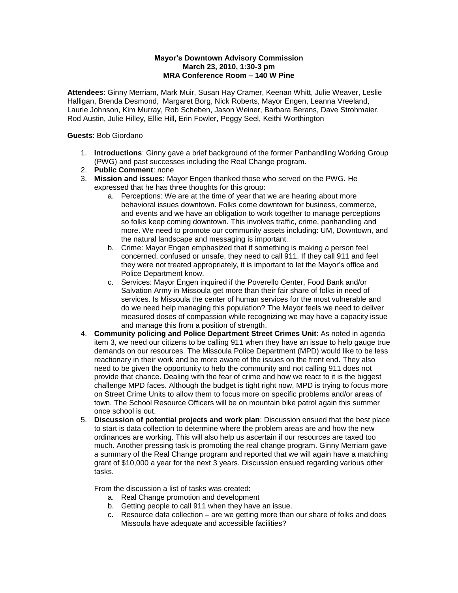## **Mayor's Downtown Advisory Commission March 23, 2010, 1:30-3 pm MRA Conference Room – 140 W Pine**

**Attendees**: Ginny Merriam, Mark Muir, Susan Hay Cramer, Keenan Whitt, Julie Weaver, Leslie Halligan, Brenda Desmond, Margaret Borg, Nick Roberts, Mayor Engen, Leanna Vreeland, Laurie Johnson, Kim Murray, Rob Scheben, Jason Weiner, Barbara Berans, Dave Strohmaier, Rod Austin, Julie Hilley, Ellie Hill, Erin Fowler, Peggy Seel, Keithi Worthington

## **Guests**: Bob Giordano

- 1. **Introductions**: Ginny gave a brief background of the former Panhandling Working Group (PWG) and past successes including the Real Change program.
- 2. **Public Comment**: none
- 3. **Mission and issues**: Mayor Engen thanked those who served on the PWG. He expressed that he has three thoughts for this group:
	- a. Perceptions: We are at the time of year that we are hearing about more behavioral issues downtown. Folks come downtown for business, commerce, and events and we have an obligation to work together to manage perceptions so folks keep coming downtown. This involves traffic, crime, panhandling and more. We need to promote our community assets including: UM, Downtown, and the natural landscape and messaging is important.
	- b. Crime: Mayor Engen emphasized that if something is making a person feel concerned, confused or unsafe, they need to call 911. If they call 911 and feel they were not treated appropriately, it is important to let the Mayor's office and Police Department know.
	- c. Services: Mayor Engen inquired if the Poverello Center, Food Bank and/or Salvation Army in Missoula get more than their fair share of folks in need of services. Is Missoula the center of human services for the most vulnerable and do we need help managing this population? The Mayor feels we need to deliver measured doses of compassion while recognizing we may have a capacity issue and manage this from a position of strength.
- 4. **Community policing and Police Department Street Crimes Unit**: As noted in agenda item 3, we need our citizens to be calling 911 when they have an issue to help gauge true demands on our resources. The Missoula Police Department (MPD) would like to be less reactionary in their work and be more aware of the issues on the front end. They also need to be given the opportunity to help the community and not calling 911 does not provide that chance. Dealing with the fear of crime and how we react to it is the biggest challenge MPD faces. Although the budget is tight right now, MPD is trying to focus more on Street Crime Units to allow them to focus more on specific problems and/or areas of town. The School Resource Officers will be on mountain bike patrol again this summer once school is out.
- 5. **Discussion of potential projects and work plan**: Discussion ensued that the best place to start is data collection to determine where the problem areas are and how the new ordinances are working. This will also help us ascertain if our resources are taxed too much. Another pressing task is promoting the real change program. Ginny Merriam gave a summary of the Real Change program and reported that we will again have a matching grant of \$10,000 a year for the next 3 years. Discussion ensued regarding various other tasks.

From the discussion a list of tasks was created:

- a. Real Change promotion and development
- b. Getting people to call 911 when they have an issue.
- c. Resource data collection are we getting more than our share of folks and does Missoula have adequate and accessible facilities?